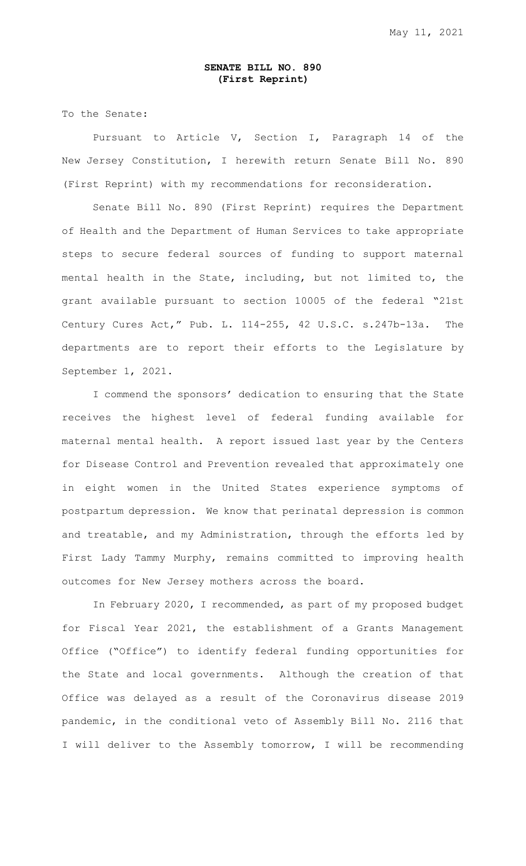## **SENATE BILL NO. 890 (First Reprint)**

To the Senate:

Pursuant to Article V, Section I, Paragraph 14 of the New Jersey Constitution, I herewith return Senate Bill No. 890 (First Reprint) with my recommendations for reconsideration.

Senate Bill No. 890 (First Reprint) requires the Department of Health and the Department of Human Services to take appropriate steps to secure federal sources of funding to support maternal mental health in the State, including, but not limited to, the grant available pursuant to section 10005 of the federal "21st Century Cures Act," Pub. L. 114-255, 42 U.S.C. s.247b-13a. The departments are to report their efforts to the Legislature by September 1, 2021.

I commend the sponsors' dedication to ensuring that the State receives the highest level of federal funding available for maternal mental health. A report issued last year by the Centers for Disease Control and Prevention revealed that approximately one in eight women in the United States experience symptoms of postpartum depression. We know that perinatal depression is common and treatable, and my Administration, through the efforts led by First Lady Tammy Murphy, remains committed to improving health outcomes for New Jersey mothers across the board.

In February 2020, I recommended, as part of my proposed budget for Fiscal Year 2021, the establishment of a Grants Management Office ("Office") to identify federal funding opportunities for the State and local governments. Although the creation of that Office was delayed as a result of the Coronavirus disease 2019 pandemic, in the conditional veto of Assembly Bill No. 2116 that I will deliver to the Assembly tomorrow, I will be recommending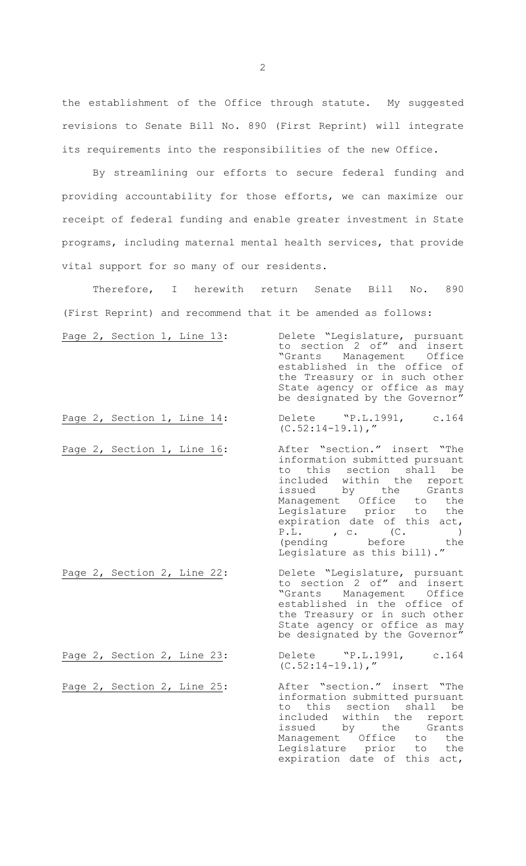the establishment of the Office through statute. My suggested revisions to Senate Bill No. 890 (First Reprint) will integrate its requirements into the responsibilities of the new Office.

By streamlining our efforts to secure federal funding and providing accountability for those efforts, we can maximize our receipt of federal funding and enable greater investment in State programs, including maternal mental health services, that provide vital support for so many of our residents.

Therefore, I herewith return Senate Bill No. 890 (First Reprint) and recommend that it be amended as follows:

| Page 2, Section 1, Line 13: | Delete "Legislature, pursuant<br>to section 2 of" and insert |
|-----------------------------|--------------------------------------------------------------|
|                             |                                                              |
|                             | "Grants Management Office                                    |
|                             | established in the office of                                 |
|                             | the Treasury or in such other                                |
|                             | State agency or office as may                                |
|                             | be designated by the Governor"                               |
|                             |                                                              |

Page 2, Section 1, Line 14: Delete "P.L.1991, c.164  $(C.52:14-19.1)$ ,"

expiration date of this act,

- Page 2, Section 1, Line 16: After "section." insert "The information submitted pursuant to this section shall be included within the report issued by the Grants Management Office to the Legislature prior to the expiration date of this act, P.L. , c. (C. ) (pending before the Legislature as this bill)."
- Page 2, Section 2, Line 22: Delete "Legislature, pursuant to section 2 of" and insert "Grants Management Office established in the office of the Treasury or in such other State agency or office as may be designated by the Governor"

Page 2, Section 2, Line 23: Delete "P.L.1991, c.164  $(C.52:14-19.1)$ ,"

Page 2, Section 2, Line 25: After "section." insert "The information submitted pursuant to this section shall be included within the report<br>issued by the Grants issued by the Grants<br>Management Office to the<br>Legislature prior to the Management Office to the Legislature prior to the

2